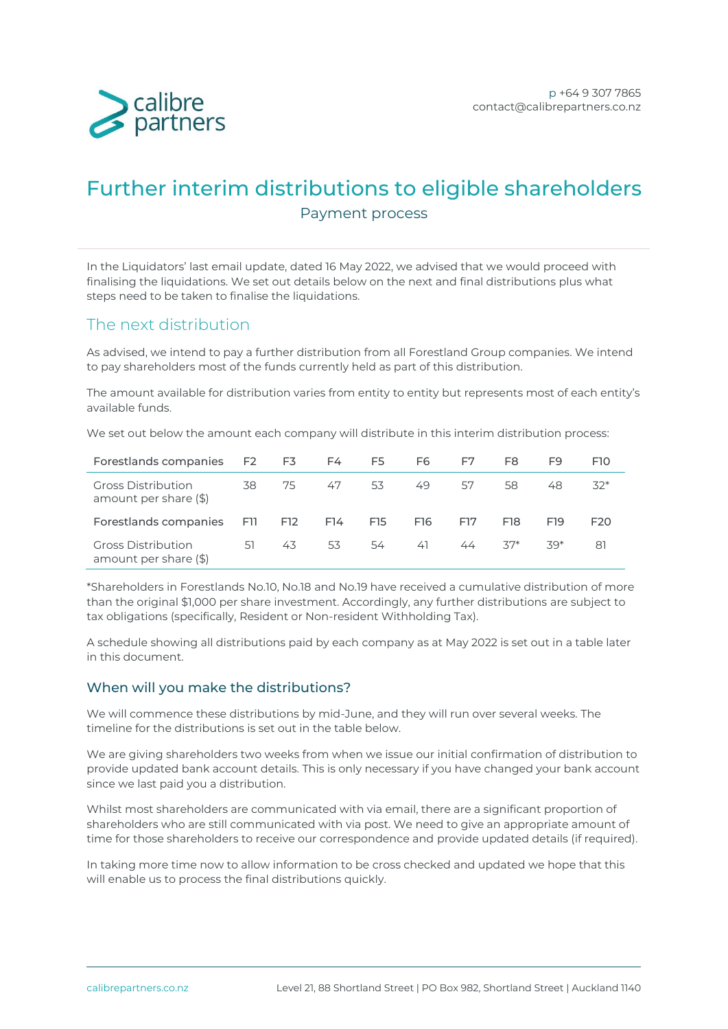

# Further interim distributions to eligible shareholders Payment process

In the Liquidators' last email update, dated 16 May 2022, we advised that we would proceed with finalising the liquidations. We set out details below on the next and final distributions plus what steps need to be taken to finalise the liquidations.

# The next distribution

As advised, we intend to pay a further distribution from all Forestland Group companies. We intend to pay shareholders most of the funds currently held as part of this distribution.

The amount available for distribution varies from entity to entity but represents most of each entity's available funds.

We set out below the amount each company will distribute in this interim distribution process:

| Forestlands companies F2 F3                        |     |     | F4  | F5 and the set of the set of the set of the set of the set of the set of the set of the set of the set of the set of the set of the set of the set of the set of the set of the set of the set of the set of the set of the se | F6              | F7  | F8    | F9    | F <sub>10</sub> |
|----------------------------------------------------|-----|-----|-----|--------------------------------------------------------------------------------------------------------------------------------------------------------------------------------------------------------------------------------|-----------------|-----|-------|-------|-----------------|
| <b>Gross Distribution</b><br>amount per share (\$) | 38  | 75  | 47  | 53                                                                                                                                                                                                                             | 49              | 57  | 58    | 48.   | $32*$           |
| Forestlands companies                              | F11 | F12 | F14 | F <sub>15</sub>                                                                                                                                                                                                                | F <sub>16</sub> | F17 | F18   | F19   | F <sub>20</sub> |
| <b>Gross Distribution</b><br>amount per share (\$) | .51 | 43  | 53  | .54                                                                                                                                                                                                                            | 41              | 44  | $37*$ | $79*$ | 81              |

\*Shareholders in Forestlands No.10, No.18 and No.19 have received a cumulative distribution of more than the original \$1,000 per share investment. Accordingly, any further distributions are subject to tax obligations (specifically, Resident or Non-resident Withholding Tax).

A schedule showing all distributions paid by each company as at May 2022 is set out in a table later in this document.

#### When will you make the distributions?

We will commence these distributions by mid-June, and they will run over several weeks. The timeline for the distributions is set out in the table below.

We are giving shareholders two weeks from when we issue our initial confirmation of distribution to provide updated bank account details. This is only necessary if you have changed your bank account since we last paid you a distribution.

Whilst most shareholders are communicated with via email, there are a significant proportion of shareholders who are still communicated with via post. We need to give an appropriate amount of time for those shareholders to receive our correspondence and provide updated details (if required).

In taking more time now to allow information to be cross checked and updated we hope that this will enable us to process the final distributions quickly.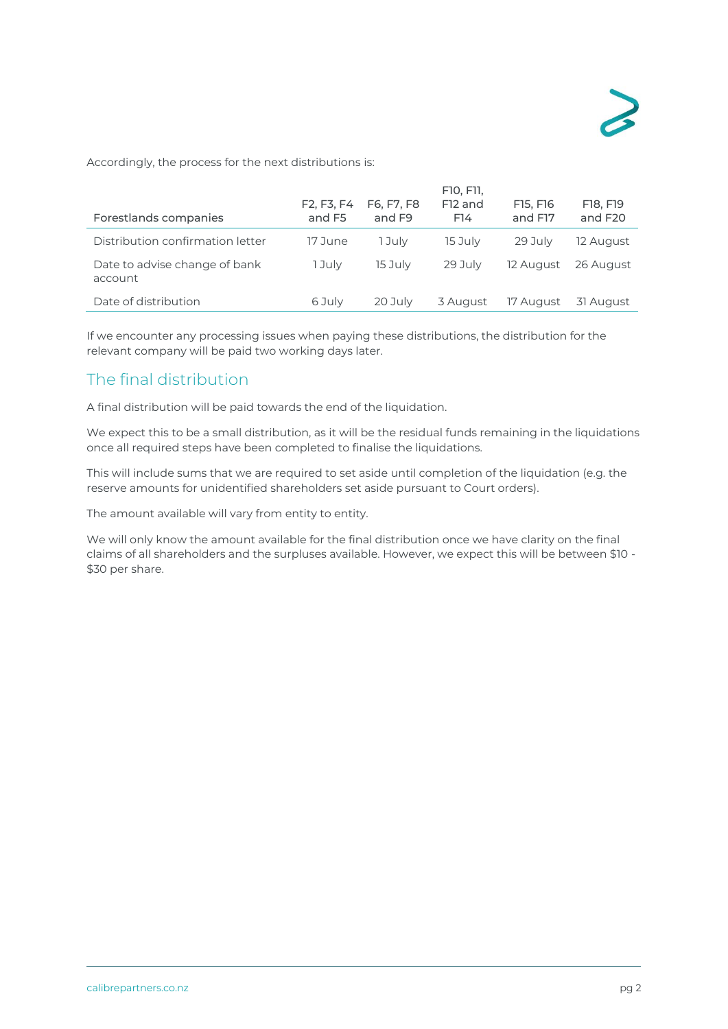Accordingly, the process for the next distributions is:

| Forestlands companies                    | F <sub>2</sub> , F <sub>3</sub> , F <sub>4</sub><br>and F5 | F6, F7, F8<br>and F <sub>9</sub> | F10, F11,<br>F <sub>12</sub> and<br>F14 | F15, F16<br>and F17 | F18, F19<br>and F <sub>20</sub> |
|------------------------------------------|------------------------------------------------------------|----------------------------------|-----------------------------------------|---------------------|---------------------------------|
| Distribution confirmation letter         | 17 June                                                    | 1 Julv                           | 15 July                                 | 29 July             | 12 August                       |
| Date to advise change of bank<br>account | 1 July                                                     | 15 July                          | 29 July                                 | 12 August           | 26 August                       |
| Date of distribution                     | 6 July                                                     | 20 July                          | 3 August                                | 17 August           | 31 August                       |

If we encounter any processing issues when paying these distributions, the distribution for the relevant company will be paid two working days later.

## The final distribution

A final distribution will be paid towards the end of the liquidation.

We expect this to be a small distribution, as it will be the residual funds remaining in the liquidations once all required steps have been completed to finalise the liquidations.

This will include sums that we are required to set aside until completion of the liquidation (e.g. the reserve amounts for unidentified shareholders set aside pursuant to Court orders).

The amount available will vary from entity to entity.

We will only know the amount available for the final distribution once we have clarity on the final claims of all shareholders and the surpluses available. However, we expect this will be between \$10 - \$30 per share.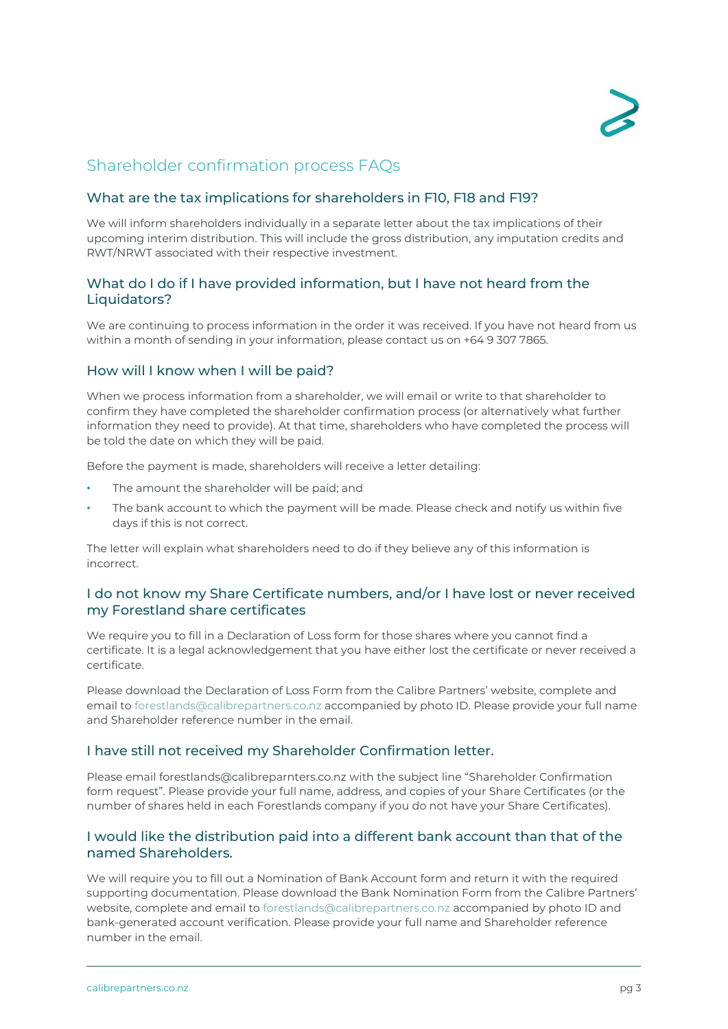

# Shareholder confirmation process FAQs

#### What are the tax implications for shareholders in F10, F18 and F19?

We will inform shareholders individually in a separate letter about the tax implications of their upcoming interim distribution. This will include the gross distribution, any imputation credits and RWT/NRWT associated with their respective investment.

#### What do I do if I have provided information, but I have not heard from the Liquidators?

We are continuing to process information in the order it was received. If you have not heard from us within a month of sending in your information, please contact us on +64 9 307 7865.

#### How will I know when I will be paid?

When we process information from a shareholder, we will email or write to that shareholder to confirm they have completed the shareholder confirmation process (or alternatively what further information they need to provide). At that time, shareholders who have completed the process will be told the date on which they will be paid.

Before the payment is made, shareholders will receive a letter detailing:

- The amount the shareholder will be paid; and
- The bank account to which the payment will be made. Please check and notify us within five days if this is not correct.

The letter will explain what shareholders need to do if they believe any of this information is incorrect.

#### I do not know my Share Certificate numbers, and/or I have lost or never received my Forestland share certificates

We require you to fill in a Declaration of Loss form for those shares where you cannot find a certificate. It is a legal acknowledgement that you have either lost the certificate or never received a certificate.

Please download the Declaration of Loss Form from the Calibre Partners' website, complete and email to [forestlands@calibrepartners.co.nz](mailto:forestlands@calibrepartners.co.nz) accompanied by photo ID. Please provide your full name and Shareholder reference number in the email.

#### I have still not received my Shareholder Confirmation letter.

Please email [forestlands@calibreparnters.co.nz](mailto:forestlands@calibreparnters.co.nz) with the subject line "Shareholder Confirmation form request". Please provide your full name, address, and copies of your Share Certificates (or the number of shares held in each Forestlands company if you do not have your Share Certificates).

#### I would like the distribution paid into a different bank account than that of the named Shareholders.

We will require you to fill out a Nomination of Bank Account form and return it with the required supporting documentation. Please download the Bank Nomination Form from the Calibre Partners' website, complete and email to [forestlands@calibrepartners.co.nz](mailto:forestlands@calibrepartners.co.nz) accompanied by photo ID and bank-generated account verification. Please provide your full name and Shareholder reference number in the email.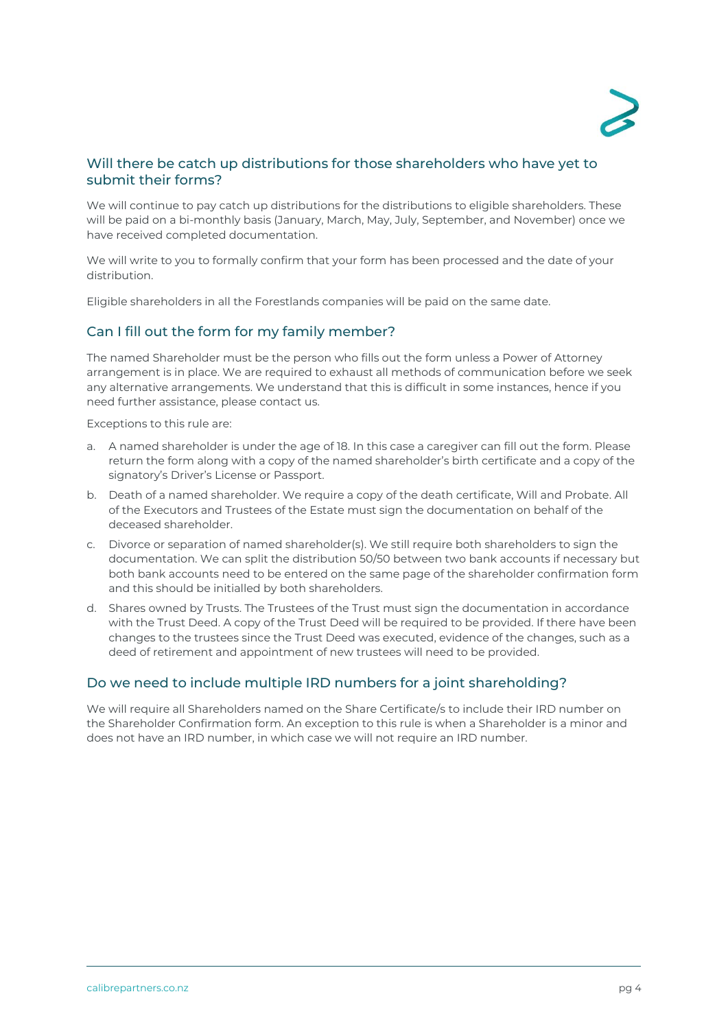

#### Will there be catch up distributions for those shareholders who have yet to submit their forms?

We will continue to pay catch up distributions for the distributions to eligible shareholders. These will be paid on a bi-monthly basis (January, March, May, July, September, and November) once we have received completed documentation.

We will write to you to formally confirm that your form has been processed and the date of your distribution.

Eligible shareholders in all the Forestlands companies will be paid on the same date.

## Can I fill out the form for my family member?

The named Shareholder must be the person who fills out the form unless a Power of Attorney arrangement is in place. We are required to exhaust all methods of communication before we seek any alternative arrangements. We understand that this is difficult in some instances, hence if you need further assistance, please contact us.

Exceptions to this rule are:

- a. A named shareholder is under the age of 18. In this case a caregiver can fill out the form. Please return the form along with a copy of the named shareholder's birth certificate and a copy of the signatory's Driver's License or Passport.
- b. Death of a named shareholder. We require a copy of the death certificate, Will and Probate. All of the Executors and Trustees of the Estate must sign the documentation on behalf of the deceased shareholder.
- c. Divorce or separation of named shareholder(s). We still require both shareholders to sign the documentation. We can split the distribution 50/50 between two bank accounts if necessary but both bank accounts need to be entered on the same page of the shareholder confirmation form and this should be initialled by both shareholders.
- d. Shares owned by Trusts. The Trustees of the Trust must sign the documentation in accordance with the Trust Deed. A copy of the Trust Deed will be required to be provided. If there have been changes to the trustees since the Trust Deed was executed, evidence of the changes, such as a deed of retirement and appointment of new trustees will need to be provided.

#### Do we need to include multiple IRD numbers for a joint shareholding?

We will require all Shareholders named on the Share Certificate/s to include their IRD number on the Shareholder Confirmation form. An exception to this rule is when a Shareholder is a minor and does not have an IRD number, in which case we will not require an IRD number.